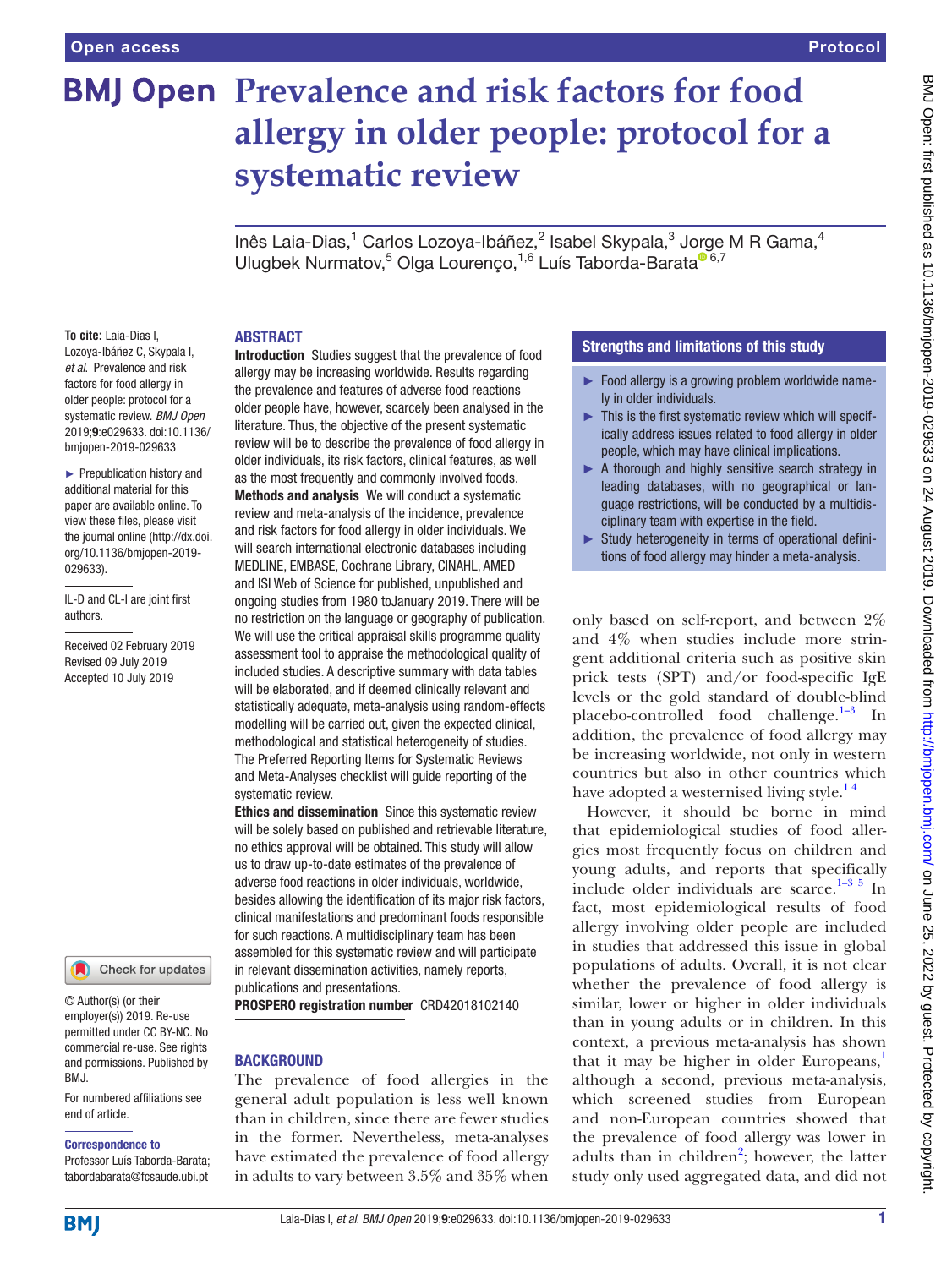# **BMJ Open Prevalence and risk factors for food allergy in older people: protocol for a systematic review**

lnês Laia-Dias, $^1$  Carlos Lozoya-Ibáñez, $^2$  Isabel Skypala, $^3$  Jorge M R Gama, $^4$ Ulugbek Nurmatov,<sup>5</sup> Olga Lourenço,<sup>1,6</sup> Luís Taborda-Barata<sup>o 6,7</sup>

#### **ABSTRACT**

**To cite:** Laia-Dias I, Lozoya-Ibáñez C, Skypala I, *et al*. Prevalence and risk factors for food allergy in older people: protocol for a systematic review. *BMJ Open* 2019;9:e029633. doi:10.1136/ bmjopen-2019-029633

► Prepublication history and additional material for this paper are available online. To view these files, please visit the journal online (http://dx.doi. org/10.1136/bmjopen-2019- 029633).

IL-D and CL-I are joint first authors.

Received 02 February 2019 Revised 09 July 2019 Accepted 10 July 2019



© Author(s) (or their employer(s)) 2019. Re-use permitted under CC BY-NC. No commercial re-use. See rights and permissions. Published by BMJ.

For numbered affiliations see end of article.

#### Correspondence to

Professor Luís Taborda-Barata; tabordabarata@fcsaude.ubi.pt

Introduction Studies suggest that the prevalence of food allergy may be increasing worldwide. Results regarding the prevalence and features of adverse food reactions older people have, however, scarcely been analysed in the literature. Thus, the objective of the present systematic review will be to describe the prevalence of food allergy in older individuals, its risk factors, clinical features, as well as the most frequently and commonly involved foods. Methods and analysis We will conduct a systematic review and meta-analysis of the incidence, prevalence and risk factors for food allergy in older individuals. We will search international electronic databases including MEDLINE, EMBASE, Cochrane Library, CINAHL, AMED and ISI Web of Science for published, unpublished and ongoing studies from 1980 toJanuary 2019. There will be no restriction on the language or geography of publication. We will use the critical appraisal skills programme quality assessment tool to appraise the methodological quality of included studies. A descriptive summary with data tables will be elaborated, and if deemed clinically relevant and statistically adequate, meta-analysis using random-effects modelling will be carried out, given the expected clinical, methodological and statistical heterogeneity of studies. The Preferred Reporting Items for Systematic Reviews and Meta-Analyses checklist will guide reporting of the systematic review.

**Ethics and dissemination** Since this systematic review will be solely based on published and retrievable literature, no ethics approval will be obtained. This study will allow us to draw up-to-date estimates of the prevalence of adverse food reactions in older individuals, worldwide, besides allowing the identification of its major risk factors, clinical manifestations and predominant foods responsible for such reactions. A multidisciplinary team has been assembled for this systematic review and will participate in relevant dissemination activities, namely reports, publications and presentations.

PROSPERO registration number CRD42018102140

#### **BACKGROUND**

The prevalence of food allergies in the general adult population is less well known than in children, since there are fewer studies in the former. Nevertheless, meta-analyses have estimated the prevalence of food allergy in adults to vary between 3.5% and 35% when

#### Strengths and limitations of this study

- ► Food allergy is a growing problem worldwide namely in older individuals.
- $\blacktriangleright$  This is the first systematic review which will specifically address issues related to food allergy in older people, which may have clinical implications.
- ► A thorough and highly sensitive search strategy in leading databases, with no geographical or language restrictions, will be conducted by a multidisciplinary team with expertise in the field.
- ► Study heterogeneity in terms of operational definitions of food allergy may hinder a meta-analysis.

only based on self-report, and between 2% and 4% when studies include more stringent additional criteria such as positive skin prick tests (SPT) and/or food-specific IgE levels or the gold standard of double-blind placebo-controlled food challenge. $1-3$  In addition, the prevalence of food allergy may be increasing worldwide, not only in western countries but also in other countries which have adopted a westernised living style.<sup>14</sup>

However, it should be borne in mind that epidemiological studies of food allergies most frequently focus on children and young adults, and reports that specifically include older individuals are scarce.<sup>1-3 5</sup> In fact, most epidemiological results of food allergy involving older people are included in studies that addressed this issue in global populations of adults. Overall, it is not clear whether the prevalence of food allergy is similar, lower or higher in older individuals than in young adults or in children. In this context, a previous meta-analysis has shown that it may be higher in older Europeans, $\frac{1}{1}$  $\frac{1}{1}$  $\frac{1}{1}$ although a second, previous meta-analysis, which screened studies from European and non-European countries showed that the prevalence of food allergy was lower in adults than in children<sup>[2](#page-3-1)</sup>; however, the latter study only used aggregated data, and did not

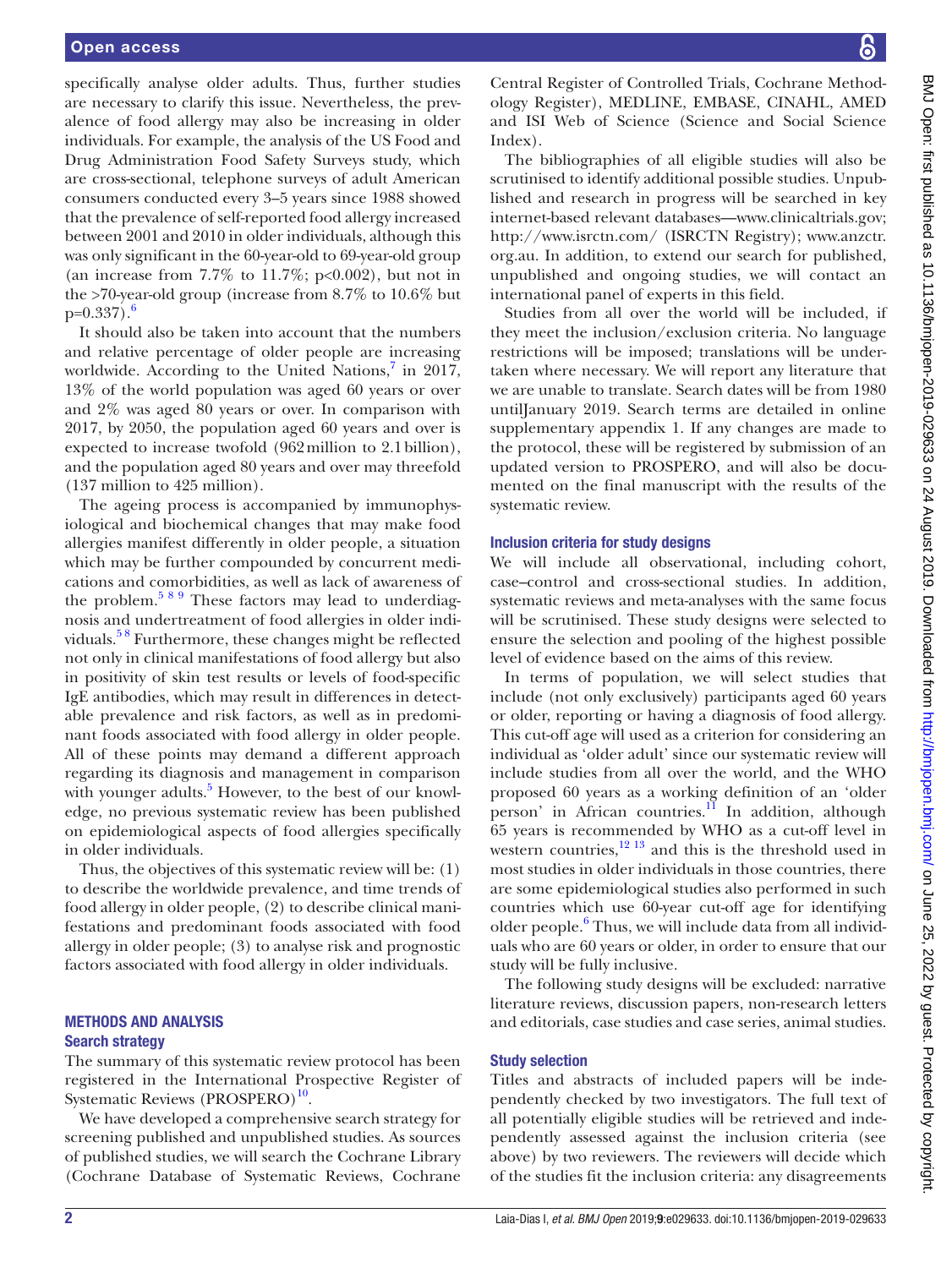specifically analyse older adults. Thus, further studies are necessary to clarify this issue. Nevertheless, the prevalence of food allergy may also be increasing in older individuals. For example, the analysis of the US Food and Drug Administration Food Safety Surveys study, which are cross-sectional, telephone surveys of adult American consumers conducted every 3–5 years since 1988 showed that the prevalence of self-reported food allergy increased between 2001 and 2010 in older individuals, although this was only significant in the 60-year-old to 69-year-old group (an increase from  $7.7\%$  to  $11.7\%$ ; p<0.002), but not in the >70-year-old group (increase from 8.7% to 10.6% but  $p=0.337$ .

It should also be taken into account that the numbers and relative percentage of older people are increasing worldwide. According to the United Nations,<sup>[7](#page-3-3)</sup> in 2017, 13% of the world population was aged 60 years or over and 2% was aged 80 years or over. In comparison with 2017, by 2050, the population aged 60 years and over is expected to increase twofold (962million to 2.1billion), and the population aged 80 years and over may threefold (137 million to 425 million).

The ageing process is accompanied by immunophysiological and biochemical changes that may make food allergies manifest differently in older people, a situation which may be further compounded by concurrent medications and comorbidities, as well as lack of awareness of the problem. $589$  These factors may lead to underdiagnosis and undertreatment of food allergies in older individuals.[5 8](#page-3-4) Furthermore, these changes might be reflected not only in clinical manifestations of food allergy but also in positivity of skin test results or levels of food-specific IgE antibodies, which may result in differences in detectable prevalence and risk factors, as well as in predominant foods associated with food allergy in older people. All of these points may demand a different approach regarding its diagnosis and management in comparison with younger adults.<sup>[5](#page-3-4)</sup> However, to the best of our knowledge, no previous systematic review has been published on epidemiological aspects of food allergies specifically in older individuals.

Thus, the objectives of this systematic review will be: (1) to describe the worldwide prevalence, and time trends of food allergy in older people, (2) to describe clinical manifestations and predominant foods associated with food allergy in older people; (3) to analyse risk and prognostic factors associated with food allergy in older individuals.

#### Methods and analysis Search strategy

The summary of this systematic review protocol has been registered in the International Prospective Register of Systematic Reviews (PROSPERO)<sup>10</sup>.

We have developed a comprehensive search strategy for screening published and unpublished studies. As sources of published studies, we will search the Cochrane Library (Cochrane Database of Systematic Reviews, Cochrane

BMJ Open: first published as 10.1136/bmjopen-2019-029633 on 24 August 2019. Downloaded from http://bmjopen.bmj.com/ on June 25, 2022 by guest. Protected by copyright BMJ Open: first published as 10.1136/bmjopen-2019-029633 on 24 August 2019. Downloaded from Idwnload an ione 25, 2022 by guest. Protected by copyright.

Central Register of Controlled Trials, Cochrane Methodology Register), MEDLINE, EMBASE, CINAHL, AMED and ISI Web of Science (Science and Social Science Index).

The bibliographies of all eligible studies will also be scrutinised to identify additional possible studies. Unpublished and research in progress will be searched in key internet-based relevant database[s—www.clinicaltrials.gov](www.clinicaltrials.gov); <http://www.isrctn.com/>(ISRCTN Registry); [www.anzctr.](www.anzctr.org.au.) [org.au.](www.anzctr.org.au.) In addition, to extend our search for published, unpublished and ongoing studies, we will contact an international panel of experts in this field.

Studies from all over the world will be included, if they meet the inclusion/exclusion criteria. No language restrictions will be imposed; translations will be undertaken where necessary. We will report any literature that we are unable to translate. Search dates will be from 1980 untilJanuary 2019. Search terms are detailed in [online](https://dx.doi.org/10.1136/bmjopen-2019-029633)  [supplementary appendix 1.](https://dx.doi.org/10.1136/bmjopen-2019-029633) If any changes are made to the protocol, these will be registered by submission of an updated version to PROSPERO, and will also be documented on the final manuscript with the results of the systematic review.

#### Inclusion criteria for study designs

We will include all observational, including cohort, case–control and cross-sectional studies. In addition, systematic reviews and meta-analyses with the same focus will be scrutinised. These study designs were selected to ensure the selection and pooling of the highest possible level of evidence based on the aims of this review.

In terms of population, we will select studies that include (not only exclusively) participants aged 60 years or older, reporting or having a diagnosis of food allergy. This cut-off age will used as a criterion for considering an individual as 'older adult' since our systematic review will include studies from all over the world, and the WHO proposed 60 years as a working definition of an 'older person' in African countries.<sup>11</sup> In addition, although 65 years is recommended by WHO as a cut-off level in western countries, $12 \times 13$  and this is the threshold used in most studies in older individuals in those countries, there are some epidemiological studies also performed in such countries which use 60-year cut-off age for identifying older people.<sup>[6](#page-3-2)</sup> Thus, we will include data from all individuals who are 60 years or older, in order to ensure that our study will be fully inclusive.

The following study designs will be excluded: narrative literature reviews, discussion papers, non-research letters and editorials, case studies and case series, animal studies.

#### Study selection

Titles and abstracts of included papers will be independently checked by two investigators. The full text of all potentially eligible studies will be retrieved and independently assessed against the inclusion criteria (see above) by two reviewers. The reviewers will decide which of the studies fit the inclusion criteria: any disagreements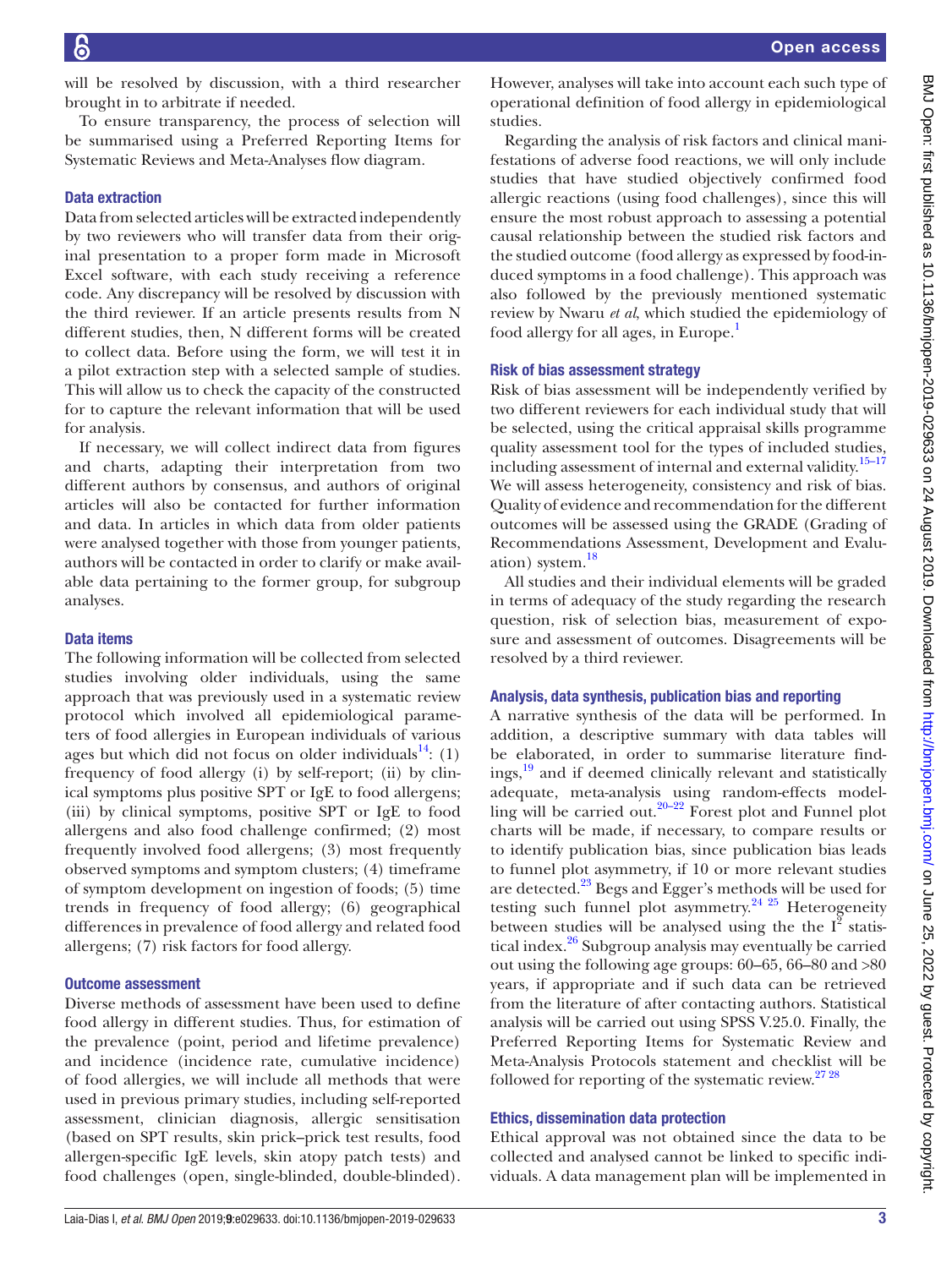will be resolved by discussion, with a third researcher brought in to arbitrate if needed.

To ensure transparency, the process of selection will be summarised using a Preferred Reporting Items for Systematic Reviews and Meta-Analyses flow diagram.

#### Data extraction

Data from selected articles will be extracted independently by two reviewers who will transfer data from their original presentation to a proper form made in Microsoft Excel software, with each study receiving a reference code. Any discrepancy will be resolved by discussion with the third reviewer. If an article presents results from N different studies, then, N different forms will be created to collect data. Before using the form, we will test it in a pilot extraction step with a selected sample of studies. This will allow us to check the capacity of the constructed for to capture the relevant information that will be used for analysis.

If necessary, we will collect indirect data from figures and charts, adapting their interpretation from two different authors by consensus, and authors of original articles will also be contacted for further information and data. In articles in which data from older patients were analysed together with those from younger patients, authors will be contacted in order to clarify or make available data pertaining to the former group, for subgroup analyses.

#### Data items

The following information will be collected from selected studies involving older individuals, using the same approach that was previously used in a systematic review protocol which involved all epidemiological parameters of food allergies in European individuals of various ages but which did not focus on older individuals<sup>14</sup>: (1) frequency of food allergy (i) by self-report; (ii) by clinical symptoms plus positive SPT or IgE to food allergens; (iii) by clinical symptoms, positive SPT or IgE to food allergens and also food challenge confirmed; (2) most frequently involved food allergens; (3) most frequently observed symptoms and symptom clusters; (4) timeframe of symptom development on ingestion of foods; (5) time trends in frequency of food allergy; (6) geographical differences in prevalence of food allergy and related food allergens; (7) risk factors for food allergy.

#### Outcome assessment

Diverse methods of assessment have been used to define food allergy in different studies. Thus, for estimation of the prevalence (point, period and lifetime prevalence) and incidence (incidence rate, cumulative incidence) of food allergies, we will include all methods that were used in previous primary studies, including self-reported assessment, clinician diagnosis, allergic sensitisation (based on SPT results, skin prick–prick test results, food allergen-specific IgE levels, skin atopy patch tests) and food challenges (open, single-blinded, double-blinded).

However, analyses will take into account each such type of operational definition of food allergy in epidemiological studies.

Regarding the analysis of risk factors and clinical manifestations of adverse food reactions, we will only include studies that have studied objectively confirmed food allergic reactions (using food challenges), since this will ensure the most robust approach to assessing a potential causal relationship between the studied risk factors and the studied outcome (food allergy as expressed by food-induced symptoms in a food challenge). This approach was also followed by the previously mentioned systematic review by Nwaru *et al*, which studied the epidemiology of food allergy for all ages, in Europe.<sup>[1](#page-3-0)</sup>

## Risk of bias assessment strategy

Risk of bias assessment will be independently verified by two different reviewers for each individual study that will be selected, using the critical appraisal skills programme quality assessment tool for the types of included studies, including assessment of internal and external validity.<sup>15-17</sup> We will assess heterogeneity, consistency and risk of bias. Quality of evidence and recommendation for the different outcomes will be assessed using the GRADE (Grading of Recommendations Assessment, Development and Evalu-ation) system.<sup>[18](#page-4-0)</sup>

All studies and their individual elements will be graded in terms of adequacy of the study regarding the research question, risk of selection bias, measurement of exposure and assessment of outcomes. Disagreements will be resolved by a third reviewer.

## Analysis, data synthesis, publication bias and reporting

A narrative synthesis of the data will be performed. In addition, a descriptive summary with data tables will be elaborated, in order to summarise literature findings,<sup>19</sup> and if deemed clinically relevant and statistically adequate, meta-analysis using random-effects modelling will be carried out[.20–22](#page-4-2) Forest plot and Funnel plot charts will be made, if necessary, to compare results or to identify publication bias, since publication bias leads to funnel plot asymmetry, if 10 or more relevant studies are detected.<sup>23</sup> Begs and Egger's methods will be used for testing such funnel plot asymmetry.<sup>24 25</sup> Heterogeneity between studies will be analysed using the the  $I^{\bar{2}}$  statistical index.<sup>26</sup> Subgroup analysis may eventually be carried out using the following age groups: 60–65, 66–80 and >80 years, if appropriate and if such data can be retrieved from the literature of after contacting authors. Statistical analysis will be carried out using SPSS V.25.0. Finally, the Preferred Reporting Items for Systematic Review and Meta-Analysis Protocols statement and checklist will be followed for reporting of the systematic review.<sup>27 28</sup>

## Ethics, dissemination data protection

Ethical approval was not obtained since the data to be collected and analysed cannot be linked to specific individuals. A data management plan will be implemented in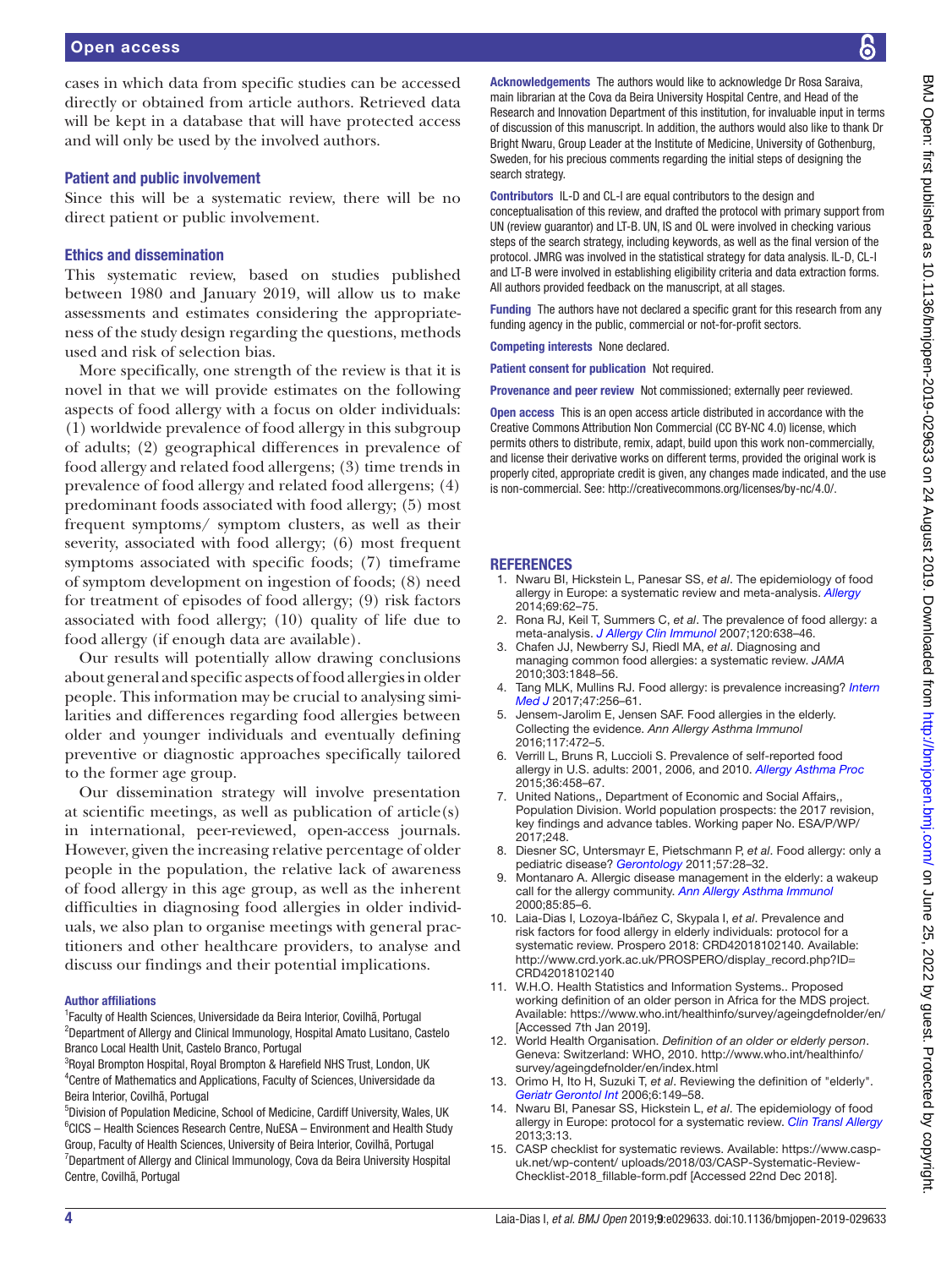cases in which data from specific studies can be accessed directly or obtained from article authors. Retrieved data will be kept in a database that will have protected access and will only be used by the involved authors.

#### Patient and public involvement

Since this will be a systematic review, there will be no direct patient or public involvement.

#### Ethics and dissemination

This systematic review, based on studies published between 1980 and January 2019, will allow us to make assessments and estimates considering the appropriateness of the study design regarding the questions, methods used and risk of selection bias.

More specifically, one strength of the review is that it is novel in that we will provide estimates on the following aspects of food allergy with a focus on older individuals: (1) worldwide prevalence of food allergy in this subgroup of adults; (2) geographical differences in prevalence of food allergy and related food allergens; (3) time trends in prevalence of food allergy and related food allergens; (4) predominant foods associated with food allergy; (5) most frequent symptoms/ symptom clusters, as well as their severity, associated with food allergy; (6) most frequent symptoms associated with specific foods; (7) timeframe of symptom development on ingestion of foods; (8) need for treatment of episodes of food allergy; (9) risk factors associated with food allergy; (10) quality of life due to food allergy (if enough data are available).

Our results will potentially allow drawing conclusions about general and specific aspects of food allergies in older people. This information may be crucial to analysing similarities and differences regarding food allergies between older and younger individuals and eventually defining preventive or diagnostic approaches specifically tailored to the former age group.

Our dissemination strategy will involve presentation at scientific meetings, as well as publication of article(s) in international, peer-reviewed, open-access journals. However, given the increasing relative percentage of older people in the population, the relative lack of awareness of food allergy in this age group, as well as the inherent difficulties in diagnosing food allergies in older individuals, we also plan to organise meetings with general practitioners and other healthcare providers, to analyse and discuss our findings and their potential implications.

#### Author affiliations

<sup>1</sup> Faculty of Health Sciences, Universidade da Beira Interior, Covilhã, Portugal <sup>2</sup>Department of Allergy and Clinical Immunology, Hospital Amato Lusitano, Castelo Branco Local Health Unit, Castelo Branco, Portugal

<sup>3</sup>Royal Brompton Hospital, Royal Brompton & Harefield NHS Trust, London, UK 4 Centre of Mathematics and Applications, Faculty of Sciences, Universidade da Beira Interior, Covilhã, Portugal

<sup>5</sup>Division of Population Medicine, School of Medicine, Cardiff University, Wales, UK <sup>6</sup>CICS - Health Sciences Research Centre, NuESA - Environment and Health Study Group, Faculty of Health Sciences, University of Beira Interior, Covilhã, Portugal <sup>7</sup>Department of Allergy and Clinical Immunology, Cova da Beira University Hospital Centre, Covilhã, Portugal

Acknowledgements The authors would like to acknowledge Dr Rosa Saraiva. main librarian at the Cova da Beira University Hospital Centre, and Head of the Research and Innovation Department of this institution, for invaluable input in terms of discussion of this manuscript. In addition, the authors would also like to thank Dr Bright Nwaru, Group Leader at the Institute of Medicine, University of Gothenburg, Sweden, for his precious comments regarding the initial steps of designing the search strategy.

Contributors IL-D and CL-I are equal contributors to the design and conceptualisation of this review, and drafted the protocol with primary support from UN (review guarantor) and LT-B. UN, IS and OL were involved in checking various steps of the search strategy, including keywords, as well as the final version of the protocol. JMRG was involved in the statistical strategy for data analysis. IL-D, CL-I and LT-B were involved in establishing eligibility criteria and data extraction forms. All authors provided feedback on the manuscript, at all stages.

Funding The authors have not declared a specific grant for this research from any funding agency in the public, commercial or not-for-profit sectors.

Competing interests None declared.

Patient consent for publication Not required.

Provenance and peer review Not commissioned; externally peer reviewed.

Open access This is an open access article distributed in accordance with the Creative Commons Attribution Non Commercial (CC BY-NC 4.0) license, which permits others to distribute, remix, adapt, build upon this work non-commercially, and license their derivative works on different terms, provided the original work is properly cited, appropriate credit is given, any changes made indicated, and the use is non-commercial. See: [http://creativecommons.org/licenses/by-nc/4.0/.](http://creativecommons.org/licenses/by-nc/4.0/)

#### **REFERENCES**

- <span id="page-3-0"></span>1. Nwaru BI, Hickstein L, Panesar SS, *et al*. The epidemiology of food allergy in Europe: a systematic review and meta-analysis. *[Allergy](http://dx.doi.org/10.1111/all.12305)* 2014;69:62–75.
- <span id="page-3-1"></span>2. Rona RJ, Keil T, Summers C, *et al*. The prevalence of food allergy: a meta-analysis. *[J Allergy Clin Immunol](http://dx.doi.org/10.1016/j.jaci.2007.05.026)* 2007;120:638–46.
- 3. Chafen JJ, Newberry SJ, Riedl MA, *et al*. Diagnosing and managing common food allergies: a systematic review. *JAMA* 2010;303:1848–56.
- 4. Tang MLK, Mullins RJ. Food allergy: is prevalence increasing? *[Intern](http://dx.doi.org/10.1111/imj.13362)  [Med J](http://dx.doi.org/10.1111/imj.13362)* 2017;47:256–61.
- <span id="page-3-4"></span>5. Jensem-Jarolim E, Jensen SAF. Food allergies in the elderly. Collecting the evidence. *Ann Allergy Asthma Immunol* 2016;117:472–5.
- <span id="page-3-2"></span>6. Verrill L, Bruns R, Luccioli S. Prevalence of self-reported food allergy in U.S. adults: 2001, 2006, and 2010. *[Allergy Asthma Proc](http://dx.doi.org/10.2500/aap.2015.36.3895)* 2015;36:458–67.
- <span id="page-3-3"></span>7. United Nations,, Department of Economic and Social Affairs,, Population Division. World population prospects: the 2017 revision, key findings and advance tables. Working paper No. ESA/P/WP/ 2017;248.
- 8. Diesner SC, Untersmayr E, Pietschmann P, *et al*. Food allergy: only a pediatric disease? *[Gerontology](http://dx.doi.org/10.1159/000279756)* 2011;57:28–32.
- Montanaro A. Allergic disease management in the elderly: a wakeup call for the allergy community. *[Ann Allergy Asthma Immunol](http://dx.doi.org/10.1016/S1081-1206(10)62442-8)* 2000;85:85–6.
- <span id="page-3-5"></span>10. Laia-Dias I, Lozoya-Ibáñez C, Skypala I, *et al*. Prevalence and risk factors for food allergy in elderly individuals: protocol for a systematic review. Prospero 2018: CRD42018102140. Available: [http://www.crd.york.ac.uk/PROSPERO/display\\_record.php?ID=](http://www.crd.york.ac.uk/PROSPERO/display_record.php?ID=CRD42018102140) [CRD42018102140](http://www.crd.york.ac.uk/PROSPERO/display_record.php?ID=CRD42018102140)
- <span id="page-3-6"></span>11. W.H.O. Health Statistics and Information Systems.. Proposed working definition of an older person in Africa for the MDS project. Available: <https://www.who.int/healthinfo/survey/ageingdefnolder/en/> [Accessed 7th Jan 2019].
- <span id="page-3-7"></span>12. World Health Organisation. *Definition of an older or elderly person*. Geneva: Switzerland: WHO, 2010. [http://www.who.int/healthinfo/](http://www.who.int/healthinfo/survey/ageingdefnolder/en/index.html) [survey/ageingdefnolder/en/index.html](http://www.who.int/healthinfo/survey/ageingdefnolder/en/index.html)
- 13. Orimo H, Ito H, Suzuki T, *et al*. Reviewing the definition of "elderly". *[Geriatr Gerontol Int](http://dx.doi.org/10.1111/j.1447-0594.2006.00341.x)* 2006;6:149–58.
- <span id="page-3-8"></span>14. Nwaru BI, Panesar SS, Hickstein L, *et al*. The epidemiology of food allergy in Europe: protocol for a systematic review. *[Clin Transl Allergy](http://dx.doi.org/10.1186/2045-7022-3-13)* 2013;3:13.
- <span id="page-3-9"></span>15. CASP checklist for systematic reviews. Available: [https://www.casp](https://www.casp-uk.net/wp-content/%20uploads/2018/03/CASP-Systematic-Review-Checklist-2018_fillable-form.pdf)[uk.net/wp-content/ uploads/2018/03/CASP-Systematic-Review-](https://www.casp-uk.net/wp-content/%20uploads/2018/03/CASP-Systematic-Review-Checklist-2018_fillable-form.pdf)[Checklist-2018\\_fillable-form.pdf](https://www.casp-uk.net/wp-content/%20uploads/2018/03/CASP-Systematic-Review-Checklist-2018_fillable-form.pdf) [Accessed 22nd Dec 2018].